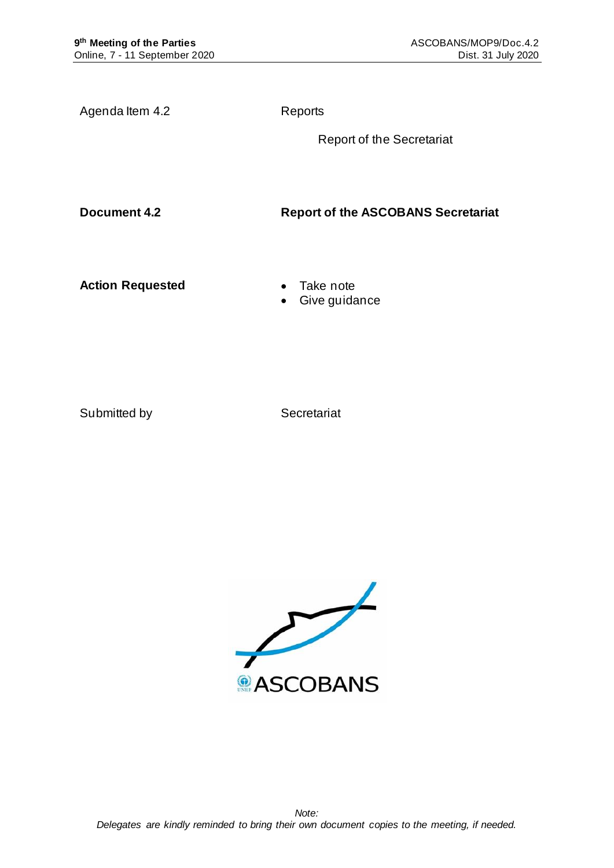Agenda Item 4.2 Reports

Report of the Secretariat

**Document 4.2 Report of the ASCOBANS Secretariat**

**Action Requested** • Take note

• Give guidance

Submitted by Secretariat

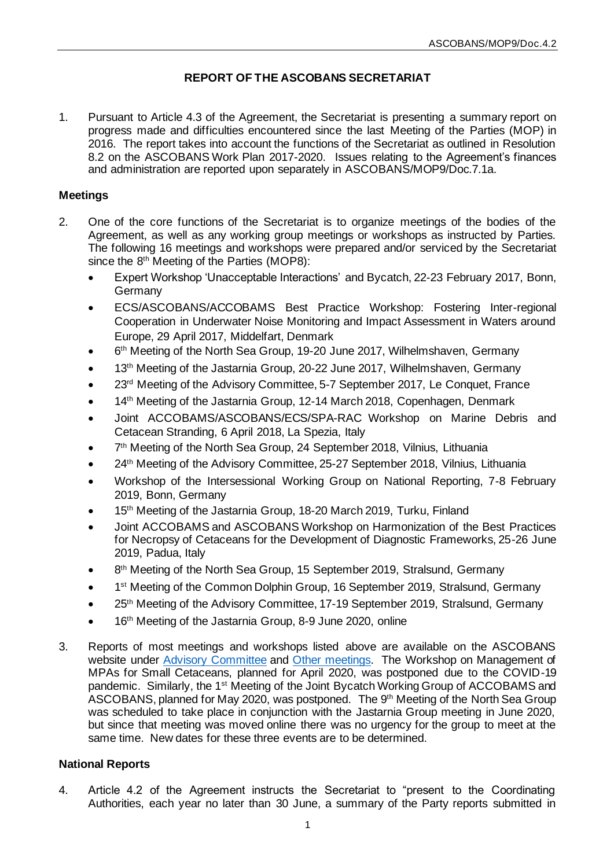# **REPORT OF THE ASCOBANS SECRETARIAT**

1. Pursuant to Article 4.3 of the Agreement, the Secretariat is presenting a summary report on progress made and difficulties encountered since the last Meeting of the Parties (MOP) in 2016. The report takes into account the functions of the Secretariat as outlined in Resolution 8.2 on the ASCOBANS Work Plan 2017-2020. Issues relating to the Agreement's finances and administration are reported upon separately in ASCOBANS/MOP9/Doc.7.1a.

## **Meetings**

- 2. One of the core functions of the Secretariat is to organize meetings of the bodies of the Agreement, as well as any working group meetings or workshops as instructed by Parties. The following 16 meetings and workshops were prepared and/or serviced by the Secretariat since the 8<sup>th</sup> Meeting of the Parties (MOP8):
	- Expert Workshop 'Unacceptable Interactions' and Bycatch, 22-23 February 2017, Bonn, **Germany**
	- ECS/ASCOBANS/ACCOBAMS Best Practice Workshop: Fostering Inter-regional Cooperation in Underwater Noise Monitoring and Impact Assessment in Waters around Europe, 29 April 2017, Middelfart, Denmark
	- 6<sup>th</sup> Meeting of the North Sea Group, 19-20 June 2017, Wilhelmshaven, Germany
	- 13<sup>th</sup> Meeting of the Jastarnia Group, 20-22 June 2017, Wilhelmshaven, Germany
	- 23<sup>rd</sup> Meeting of the Advisory Committee, 5-7 September 2017, Le Conquet, France
	- 14<sup>th</sup> Meeting of the Jastarnia Group, 12-14 March 2018, Copenhagen, Denmark
	- Joint ACCOBAMS/ASCOBANS/ECS/SPA-RAC Workshop on Marine Debris and Cetacean Stranding, 6 April 2018, La Spezia, Italy
	- 7<sup>th</sup> Meeting of the North Sea Group, 24 September 2018, Vilnius, Lithuania
	- 24<sup>th</sup> Meeting of the Advisory Committee, 25-27 September 2018, Vilnius, Lithuania
	- Workshop of the Intersessional Working Group on National Reporting, 7-8 February 2019, Bonn, Germany
	- 15<sup>th</sup> Meeting of the Jastarnia Group, 18-20 March 2019, Turku, Finland
	- Joint ACCOBAMS and ASCOBANS Workshop on Harmonization of the Best Practices for Necropsy of Cetaceans for the Development of Diagnostic Frameworks, 25-26 June 2019, Padua, Italy
	- 8<sup>th</sup> Meeting of the North Sea Group, 15 September 2019, Stralsund, Germany
	- 1<sup>st</sup> Meeting of the Common Dolphin Group, 16 September 2019, Stralsund, Germany
	- 25<sup>th</sup> Meeting of the Advisory Committee, 17-19 September 2019, Stralsund, Germany
	- 16<sup>th</sup> Meeting of the Jastarnia Group, 8-9 June 2020, online
- 3. Reports of most meetings and workshops listed above are available on the ASCOBANS website under [Advisory Committee](https://www.ascobans.org/en/meetings/advisory-committee) and [Other meetings.](https://www.ascobans.org/en/meetings/related-meetings) The Workshop on Management of MPAs for Small Cetaceans, planned for April 2020, was postponed due to the COVID-19 pandemic. Similarly, the 1st Meeting of the Joint Bycatch Working Group of ACCOBAMS and ASCOBANS, planned for May 2020, was postponed. The 9<sup>th</sup> Meeting of the North Sea Group was scheduled to take place in conjunction with the Jastarnia Group meeting in June 2020, but since that meeting was moved online there was no urgency for the group to meet at the same time. New dates for these three events are to be determined.

## **National Reports**

4. Article 4.2 of the Agreement instructs the Secretariat to "present to the Coordinating Authorities, each year no later than 30 June, a summary of the Party reports submitted in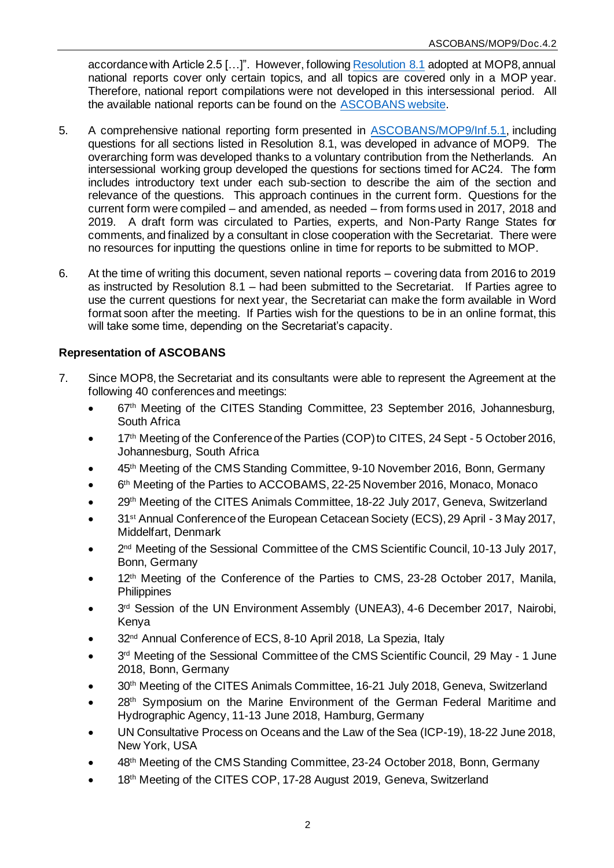accordance with Article 2.5 […]". However, followin[g Resolution 8.1](https://www.ascobans.org/en/document/national-reporting) adopted at MOP8, annual national reports cover only certain topics, and all topics are covered only in a MOP year. Therefore, national report compilations were not developed in this intersessional period. All the available national reports can be found on the [ASCOBANS website.](https://www.ascobans.org/en/documents/national-reports)

- 5. A comprehensive national reporting form presented in [ASCOBANS/MOP9/Inf.5.1](https://www.ascobans.org/en/document/ascobans-national-reporting-form-2016-2019), including questions for all sections listed in Resolution 8.1, was developed in advance of MOP9. The overarching form was developed thanks to a voluntary contribution from the Netherlands. An intersessional working group developed the questions for sections timed for AC24. The form includes introductory text under each sub-section to describe the aim of the section and relevance of the questions. This approach continues in the current form. Questions for the current form were compiled – and amended, as needed – from forms used in 2017, 2018 and 2019. A draft form was circulated to Parties, experts, and Non-Party Range States for comments, and finalized by a consultant in close cooperation with the Secretariat. There were no resources for inputting the questions online in time for reports to be submitted to MOP.
- 6. At the time of writing this document, seven national reports covering data from 2016 to 2019 as instructed by Resolution 8.1 – had been submitted to the Secretariat. If Parties agree to use the current questions for next year, the Secretariat can make the form available in Word format soon after the meeting. If Parties wish for the questions to be in an online format, this will take some time, depending on the Secretariat's capacity.

# **Representation of ASCOBANS**

- 7. Since MOP8, the Secretariat and its consultants were able to represent the Agreement at the following 40 conferences and meetings:
	- 67th Meeting of the CITES Standing Committee, 23 September 2016, Johannesburg, South Africa
	- 17<sup>th</sup> Meeting of the Conference of the Parties (COP) to CITES, 24 Sept 5 October 2016, Johannesburg, South Africa
	- 45<sup>th</sup> Meeting of the CMS Standing Committee, 9-10 November 2016, Bonn, Germany
	- 6<sup>th</sup> Meeting of the Parties to ACCOBAMS, 22-25 November 2016, Monaco, Monaco
	- 29<sup>th</sup> Meeting of the CITES Animals Committee, 18-22 July 2017, Geneva, Switzerland
	- 31<sup>st</sup> Annual Conference of the European Cetacean Society (ECS), 29 April 3 May 2017, Middelfart, Denmark
	- 2<sup>nd</sup> Meeting of the Sessional Committee of the CMS Scientific Council, 10-13 July 2017, Bonn, Germany
	- 12<sup>th</sup> Meeting of the Conference of the Parties to CMS, 23-28 October 2017, Manila, **Philippines**
	- 3<sup>rd</sup> Session of the UN Environment Assembly (UNEA3), 4-6 December 2017, Nairobi, Kenya
	- 32<sup>nd</sup> Annual Conference of ECS, 8-10 April 2018, La Spezia, Italy
	- 3<sup>rd</sup> Meeting of the Sessional Committee of the CMS Scientific Council, 29 May 1 June 2018, Bonn, Germany
	- 30<sup>th</sup> Meeting of the CITES Animals Committee, 16-21 July 2018, Geneva, Switzerland
	- 28<sup>th</sup> Symposium on the Marine Environment of the German Federal Maritime and Hydrographic Agency, 11-13 June 2018, Hamburg, Germany
	- UN Consultative Process on Oceans and the Law of the Sea (ICP-19), 18-22 June 2018, New York, USA
	- 48th Meeting of the CMS Standing Committee, 23-24 October 2018, Bonn, Germany
	- 18<sup>th</sup> Meeting of the CITES COP, 17-28 August 2019, Geneva, Switzerland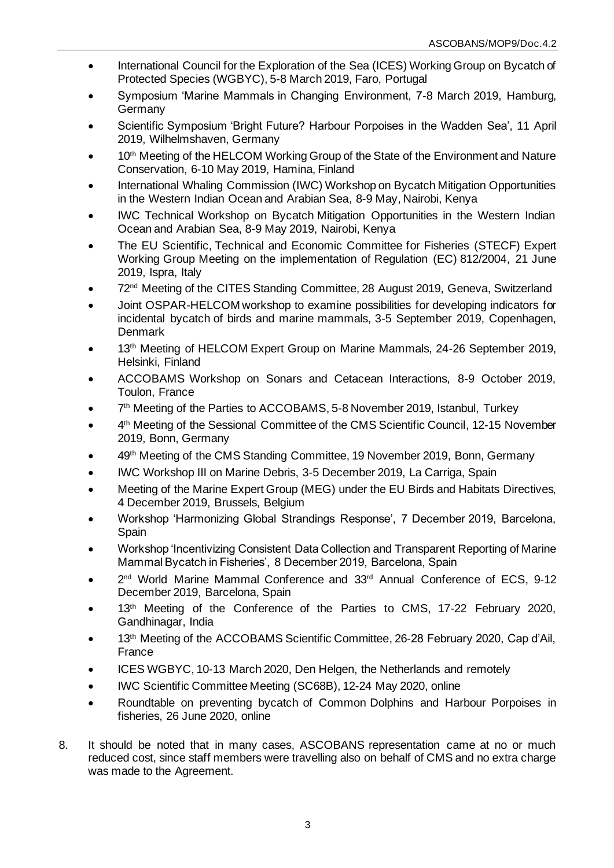- International Council for the Exploration of the Sea (ICES) Working Group on Bycatch of Protected Species (WGBYC), 5-8 March 2019, Faro, Portugal
- Symposium 'Marine Mammals in Changing Environment, 7-8 March 2019, Hamburg, Germany
- Scientific Symposium 'Bright Future? Harbour Porpoises in the Wadden Sea', 11 April 2019, Wilhelmshaven, Germany
- 10<sup>th</sup> Meeting of the HELCOM Working Group of the State of the Environment and Nature Conservation, 6-10 May 2019, Hamina, Finland
- International Whaling Commission (IWC) Workshop on Bycatch Mitigation Opportunities in the Western Indian Ocean and Arabian Sea, 8-9 May, Nairobi, Kenya
- IWC Technical Workshop on Bycatch Mitigation Opportunities in the Western Indian Ocean and Arabian Sea, 8-9 May 2019, Nairobi, Kenya
- The EU Scientific, Technical and Economic Committee for Fisheries (STECF) Expert Working Group Meeting on the implementation of Regulation (EC) 812/2004, 21 June 2019, Ispra, Italy
- 72nd Meeting of the CITES Standing Committee, 28 August 2019, Geneva, Switzerland
- Joint OSPAR-HELCOM workshop to examine possibilities for developing indicators for incidental bycatch of birds and marine mammals, 3-5 September 2019, Copenhagen, **Denmark**
- 13<sup>th</sup> Meeting of HELCOM Expert Group on Marine Mammals, 24-26 September 2019, Helsinki, Finland
- ACCOBAMS Workshop on Sonars and Cetacean Interactions, 8-9 October 2019, Toulon, France
- 7<sup>th</sup> Meeting of the Parties to ACCOBAMS, 5-8 November 2019, Istanbul, Turkey
- 4<sup>th</sup> Meeting of the Sessional Committee of the CMS Scientific Council, 12-15 November 2019, Bonn, Germany
- 49th Meeting of the CMS Standing Committee, 19 November 2019, Bonn, Germany
- IWC Workshop III on Marine Debris, 3-5 December 2019, La Carriga, Spain
- Meeting of the Marine Expert Group (MEG) under the EU Birds and Habitats Directives, 4 December 2019, Brussels, Belgium
- Workshop 'Harmonizing Global Strandings Response', 7 December 2019, Barcelona, Spain
- Workshop 'Incentivizing Consistent Data Collection and Transparent Reporting of Marine Mammal Bycatch in Fisheries', 8 December 2019, Barcelona, Spain
- 2<sup>nd</sup> World Marine Mammal Conference and 33<sup>rd</sup> Annual Conference of ECS, 9-12 December 2019, Barcelona, Spain
- 13<sup>th</sup> Meeting of the Conference of the Parties to CMS, 17-22 February 2020, Gandhinagar, India
- 13<sup>th</sup> Meeting of the ACCOBAMS Scientific Committee, 26-28 February 2020, Cap d'Ail, France
- ICES WGBYC, 10-13 March 2020, Den Helgen, the Netherlands and remotely
- IWC Scientific Committee Meeting (SC68B), 12-24 May 2020, online
- Roundtable on preventing bycatch of Common Dolphins and Harbour Porpoises in fisheries, 26 June 2020, online
- 8. It should be noted that in many cases, ASCOBANS representation came at no or much reduced cost, since staff members were travelling also on behalf of CMS and no extra charge was made to the Agreement.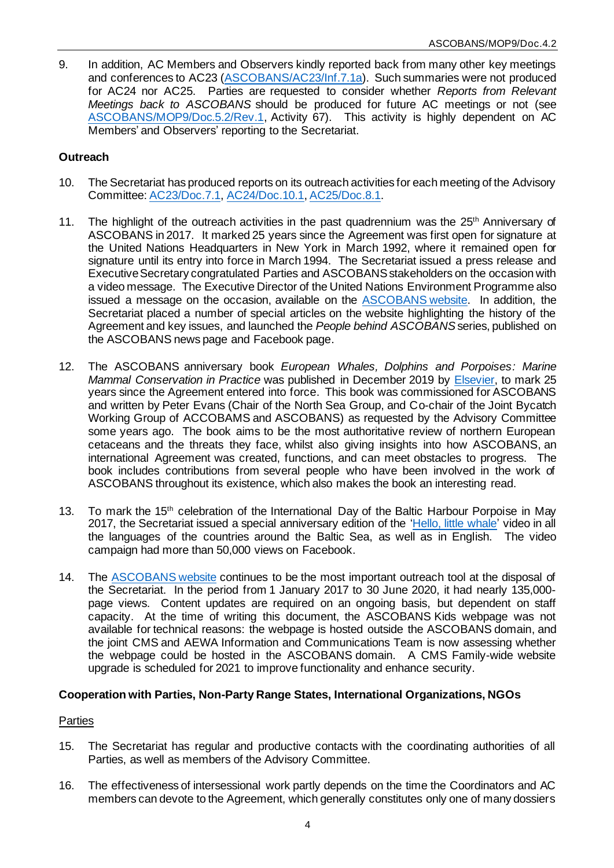9. In addition, AC Members and Observers kindly reported back from many other key meetings and conferences to AC23 [\(ASCOBANS/AC23/Inf.7.1a](https://www.ascobans.org/en/document/reports-form-relevant-meetings-back-ascobans)). Such summaries were not produced for AC24 nor AC25. Parties are requested to consider whether *Reports from Relevant Meetings back to ASCOBANS* should be produced for future AC meetings or not (see [ASCOBANS/MOP9/Doc.5.2/Rev.1](https://www.ascobans.org/en/document/draft-resolution-work-plan-ascobans-advisory-committee-and-secretariat-2021-2024), Activity 67). This activity is highly dependent on AC Members' and Observers' reporting to the Secretariat.

# **Outreach**

- 10. The Secretariat has produced reports on its outreach activities for each meeting of the Advisory Committee[: AC23/Doc.7.1,](https://www.ascobans.org/en/document/report-secretariat-outreach-and-education-acitivites) [AC24/Doc.10.1](https://www.ascobans.org/en/document/report-secretariat-outreach-and-education-activities-2)[, AC25/Doc.8.1.](https://www.ascobans.org/en/document/report-secretariat-outreach-and-education-activities-3)
- 11. The highlight of the outreach activities in the past quadrennium was the 25<sup>th</sup> Anniversary of ASCOBANS in 2017. It marked 25 years since the Agreement was first open for signature at the United Nations Headquarters in New York in March 1992, where it remained open for signature until its entry into force in March 1994. The Secretariat issued a press release and Executive Secretary congratulated Parties and ASCOBANS stakeholders on the occasion with a video message. The Executive Director of the United Nations Environment Programme also issued a message on the occasion, available on the [ASCOBANS website.](http://www.ascobans.org/en/news/un-environment-executive-directors-statement-25th-anniversary-ascobans) In addition, the Secretariat placed a number of special articles on the website highlighting the history of the Agreement and key issues, and launched the *People behind ASCOBANS* series, published on the ASCOBANS news page and Facebook page.
- 12. The ASCOBANS anniversary book *European Whales, Dolphins and Porpoises: Marine Mammal Conservation in Practice* was published in December 2019 by [Elsevier,](https://www.elsevier.com/books/european-whales-dolphins-and-porpoises/evans/978-0-12-819053-1) to mark 25 years since the Agreement entered into force. This book was commissioned for ASCOBANS and written by Peter Evans (Chair of the North Sea Group, and Co-chair of the Joint Bycatch Working Group of ACCOBAMS and ASCOBANS) as requested by the Advisory Committee some years ago. The book aims to be the most authoritative review of northern European cetaceans and the threats they face, whilst also giving insights into how ASCOBANS, an international Agreement was created, functions, and can meet obstacles to progress. The book includes contributions from several people who have been involved in the work of ASCOBANS throughout its existence, which also makes the book an interesting read.
- 13. To mark the 15<sup>th</sup> celebration of the International Day of the Baltic Harbour Porpoise in May 2017, the Secretariat issued a special anniversary edition of the ['Hello, little whale'](http://www.ascobans.org/en/news/hello-little-whale-video) video in all the languages of the countries around the Baltic Sea, as well as in English. The video campaign had more than 50,000 views on Facebook.
- 14. The [ASCOBANS website](http://www.ascobans.org/) continues to be the most important outreach tool at the disposal of the Secretariat. In the period from 1 January 2017 to 30 June 2020, it had nearly 135,000 page views. Content updates are required on an ongoing basis, but dependent on staff capacity. At the time of writing this document, the ASCOBANS Kids webpage was not available for technical reasons: the webpage is hosted outside the ASCOBANS domain, and the joint CMS and AEWA Information and Communications Team is now assessing whether the webpage could be hosted in the ASCOBANS domain. A CMS Family-wide website upgrade is scheduled for 2021 to improve functionality and enhance security.

## **Cooperation with Parties, Non-Party Range States, International Organizations, NGOs**

# **Parties**

- 15. The Secretariat has regular and productive contacts with the coordinating authorities of all Parties, as well as members of the Advisory Committee.
- 16. The effectiveness of intersessional work partly depends on the time the Coordinators and AC members can devote to the Agreement, which generally constitutes only one of many dossiers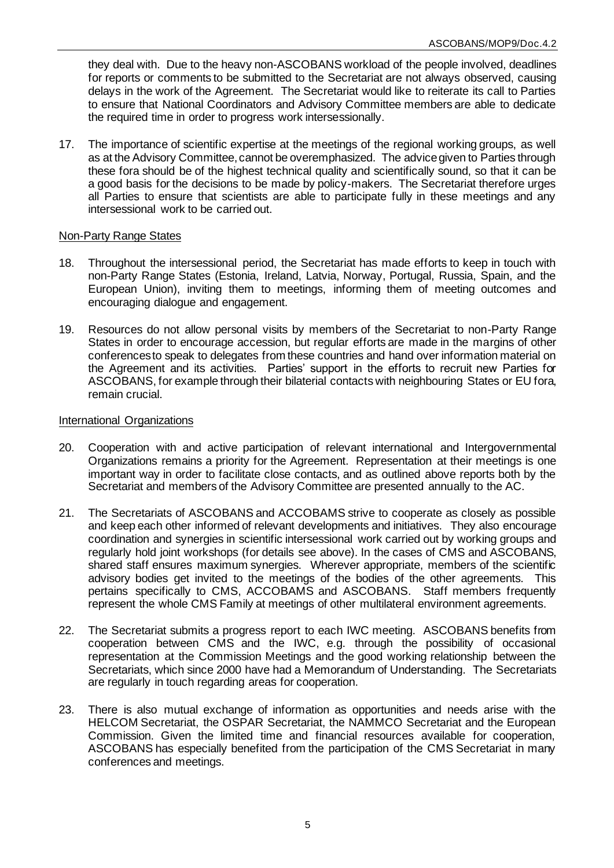they deal with. Due to the heavy non-ASCOBANS workload of the people involved, deadlines for reports or comments to be submitted to the Secretariat are not always observed, causing delays in the work of the Agreement. The Secretariat would like to reiterate its call to Parties to ensure that National Coordinators and Advisory Committee members are able to dedicate the required time in order to progress work intersessionally.

17. The importance of scientific expertise at the meetings of the regional working groups, as well as at the Advisory Committee, cannot be overemphasized. The advice given to Parties through these fora should be of the highest technical quality and scientifically sound, so that it can be a good basis for the decisions to be made by policy-makers. The Secretariat therefore urges all Parties to ensure that scientists are able to participate fully in these meetings and any intersessional work to be carried out.

#### Non-Party Range States

- 18. Throughout the intersessional period, the Secretariat has made efforts to keep in touch with non-Party Range States (Estonia, Ireland, Latvia, Norway, Portugal, Russia, Spain, and the European Union), inviting them to meetings, informing them of meeting outcomes and encouraging dialogue and engagement.
- 19. Resources do not allow personal visits by members of the Secretariat to non-Party Range States in order to encourage accession, but regular efforts are made in the margins of other conferences to speak to delegates from these countries and hand over information material on the Agreement and its activities. Parties' support in the efforts to recruit new Parties for ASCOBANS, for example through their bilaterial contacts with neighbouring States or EU fora, remain crucial.

#### International Organizations

- 20. Cooperation with and active participation of relevant international and Intergovernmental Organizations remains a priority for the Agreement. Representation at their meetings is one important way in order to facilitate close contacts, and as outlined above reports both by the Secretariat and members of the Advisory Committee are presented annually to the AC.
- 21. The Secretariats of ASCOBANS and ACCOBAMS strive to cooperate as closely as possible and keep each other informed of relevant developments and initiatives. They also encourage coordination and synergies in scientific intersessional work carried out by working groups and regularly hold joint workshops (for details see above). In the cases of CMS and ASCOBANS, shared staff ensures maximum synergies. Wherever appropriate, members of the scientific advisory bodies get invited to the meetings of the bodies of the other agreements. This pertains specifically to CMS, ACCOBAMS and ASCOBANS. Staff members frequently represent the whole CMS Family at meetings of other multilateral environment agreements.
- 22. The Secretariat submits a progress report to each IWC meeting. ASCOBANS benefits from cooperation between CMS and the IWC, e.g. through the possibility of occasional representation at the Commission Meetings and the good working relationship between the Secretariats, which since 2000 have had a Memorandum of Understanding. The Secretariats are regularly in touch regarding areas for cooperation.
- 23. There is also mutual exchange of information as opportunities and needs arise with the HELCOM Secretariat, the OSPAR Secretariat, the NAMMCO Secretariat and the European Commission. Given the limited time and financial resources available for cooperation, ASCOBANS has especially benefited from the participation of the CMS Secretariat in many conferences and meetings.